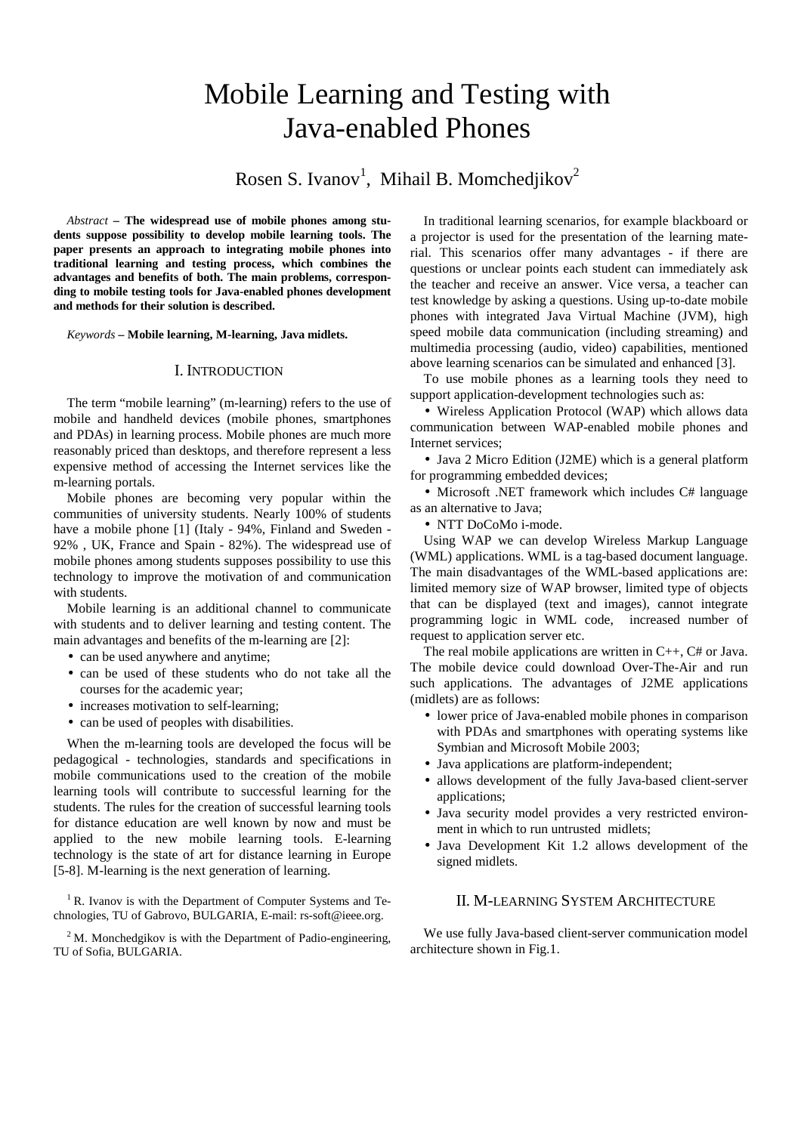# Mobile Learning and Testing with Java-enabled Phones

Rosen S. Ivanov<sup>1</sup>, Mihail B. Momchedjikov<sup>2</sup>

*Abstract –* **The widespread use of mobile phones among students suppose possibility to develop mobile learning tools. The paper presents an approach to integrating mobile phones into traditional learning and testing process, which combines the advantages and benefits of both. The main problems, corresponding to mobile testing tools for Java-enabled phones development and methods for their solution is described.** 

*Keywords –* **Mobile learning, M-learning, Java midlets.** 

#### I. INTRODUCTION

The term "mobile learning" (m-learning) refers to the use of mobile and handheld devices (mobile phones, smartphones and PDAs) in learning process. Mobile phones are much more reasonably priced than desktops, and therefore represent a less expensive method of accessing the Internet services like the m-learning portals.

Mobile phones are becoming very popular within the communities of university students. Nearly 100% of students have a mobile phone [1] (Italy - 94%, Finland and Sweden - 92% , UK, France and Spain - 82%). The widespread use of mobile phones among students supposes possibility to use this technology to improve the motivation of and communication with students.

Mobile learning is an additional channel to communicate with students and to deliver learning and testing content. The main advantages and benefits of the m-learning are [2]:

- can be used anywhere and anytime;
- can be used of these students who do not take all the courses for the academic year;
- increases motivation to self-learning;
- can be used of peoples with disabilities.

When the m-learning tools are developed the focus will be pedagogical - technologies, standards and specifications in mobile communications used to the creation of the mobile learning tools will contribute to successful learning for the students. The rules for the creation of successful learning tools for distance education are well known by now and must be applied to the new mobile learning tools. E-learning technology is the state of art for distance learning in Europe [5-8]. M-learning is the next generation of learning.

 $1$  R. Ivanov is with the Department of Computer Systems and Technologies, TU of Gabrovo, BULGARIA, E-mail: rs-soft@ieee.org.

<sup>2</sup>M. Monchedgikov is with the Department of Padio-engineering, TU of Sofia, BULGARIA.

In traditional learning scenarios, for example blackboard or a projector is used for the presentation of the learning material. This scenarios offer many advantages - if there are questions or unclear points each student can immediately ask the teacher and receive an answer. Vice versa, a teacher can test knowledge by asking a questions. Using up-to-date mobile phones with integrated Java Virtual Machine (JVM), high speed mobile data communication (including streaming) and multimedia processing (audio, video) capabilities, mentioned above learning scenarios can be simulated and enhanced [3].

To use mobile phones as a learning tools they need to support application-development technologies such as:

• Wireless Application Protocol (WAP) which allows data communication between WAP-enabled mobile phones and Internet services;

• Java 2 Micro Edition (J2ME) which is a general platform for programming embedded devices;

• Microsoft .NET framework which includes C# language as an alternative to Java;

• NTT DoCoMo i-mode.

Using WAP we can develop Wireless Markup Language (WML) applications. WML is a tag-based document language. The main disadvantages of the WML-based applications are: limited memory size of WAP browser, limited type of objects that can be displayed (text and images), cannot integrate programming logic in WML code, increased number of request to application server etc.

The real mobile applications are written in C++, C# or Java. The mobile device could download Over-The-Air and run such applications. The advantages of J2ME applications (midlets) are as follows:

- lower price of Java-enabled mobile phones in comparison with PDAs and smartphones with operating systems like Symbian and Microsoft Mobile 2003;
- Java applications are platform-independent;
- allows development of the fully Java-based client-server applications;
- Java security model provides a very restricted environment in which to run untrusted midlets;
- Java Development Kit 1.2 allows development of the signed midlets.

# II. M-LEARNING SYSTEM ARCHITECTURE

We use fully Java-based client-server communication model architecture shown in Fig.1.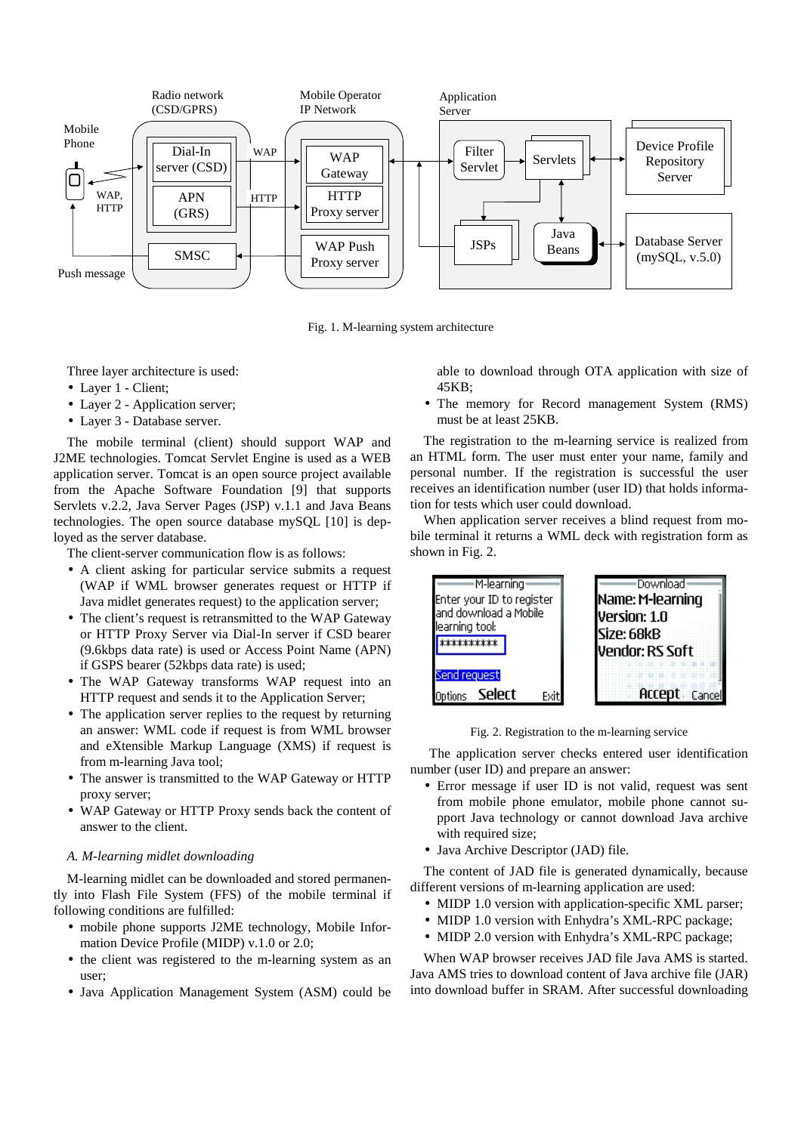

Fig. 1. M-learning system architecture

Three layer architecture is used:

- Layer 1 Client;
- Layer 2 Application server;
- Layer 3 Database server.

The mobile terminal (client) should support WAP and J2ME technologies. Tomcat Servlet Engine is used as a WEB application server. Tomcat is an open source project available from the Apache Software Foundation [9] that supports Servlets v.2.2, Java Server Pages (JSP) v.1.1 and Java Beans technologies. The open source database mySQL [10] is deployed as the server database.

The client-server communication flow is as follows:

- A client asking for particular service submits a request (WAP if WML browser generates request or HTTP if Java midlet generates request) to the application server;
- The client's request is retransmitted to the WAP Gateway or HTTP Proxy Server via Dial-In server if CSD bearer (9.6kbps data rate) is used or Access Point Name (APN) if GSPS bearer (52kbps data rate) is used;
- The WAP Gateway transforms WAP request into an HTTP request and sends it to the Application Server;
- The application server replies to the request by returning an answer: WML code if request is from WML browser and eXtensible Markup Language (XMS) if request is from m-learning Java tool;
- The answer is transmitted to the WAP Gateway or HTTP proxy server;
- WAP Gateway or HTTP Proxy sends back the content of answer to the client.

#### *A. M-learning midlet downloading*

M-learning midlet can be downloaded and stored permanently into Flash File System (FFS) of the mobile terminal if following conditions are fulfilled:

- mobile phone supports J2ME technology, Mobile Information Device Profile (MIDP) v.1.0 or 2.0;
- the client was registered to the m-learning system as an user;
- Java Application Management System (ASM) could be

able to download through OTA application with size of 45KB;

• The memory for Record management System (RMS) must be at least 25KB.

The registration to the m-learning service is realized from an HTML form. The user must enter your name, family and personal number. If the registration is successful the user receives an identification number (user ID) that holds information for tests which user could download.

When application server receives a blind request from mobile terminal it returns a WML deck with registration form as shown in Fig. 2.



Fig. 2. Registration to the m-learning service

 The application server checks entered user identification number (user ID) and prepare an answer:

- Error message if user ID is not valid, request was sent from mobile phone emulator, mobile phone cannot support Java technology or cannot download Java archive with required size;
- Java Archive Descriptor (JAD) file.

The content of JAD file is generated dynamically, because different versions of m-learning application are used:

- MIDP 1.0 version with application-specific XML parser;
- MIDP 1.0 version with Enhydra's XML-RPC package;
- MIDP 2.0 version with Enhydra's XML-RPC package:

When WAP browser receives JAD file Java AMS is started. Java AMS tries to download content of Java archive file (JAR) into download buffer in SRAM. After successful downloading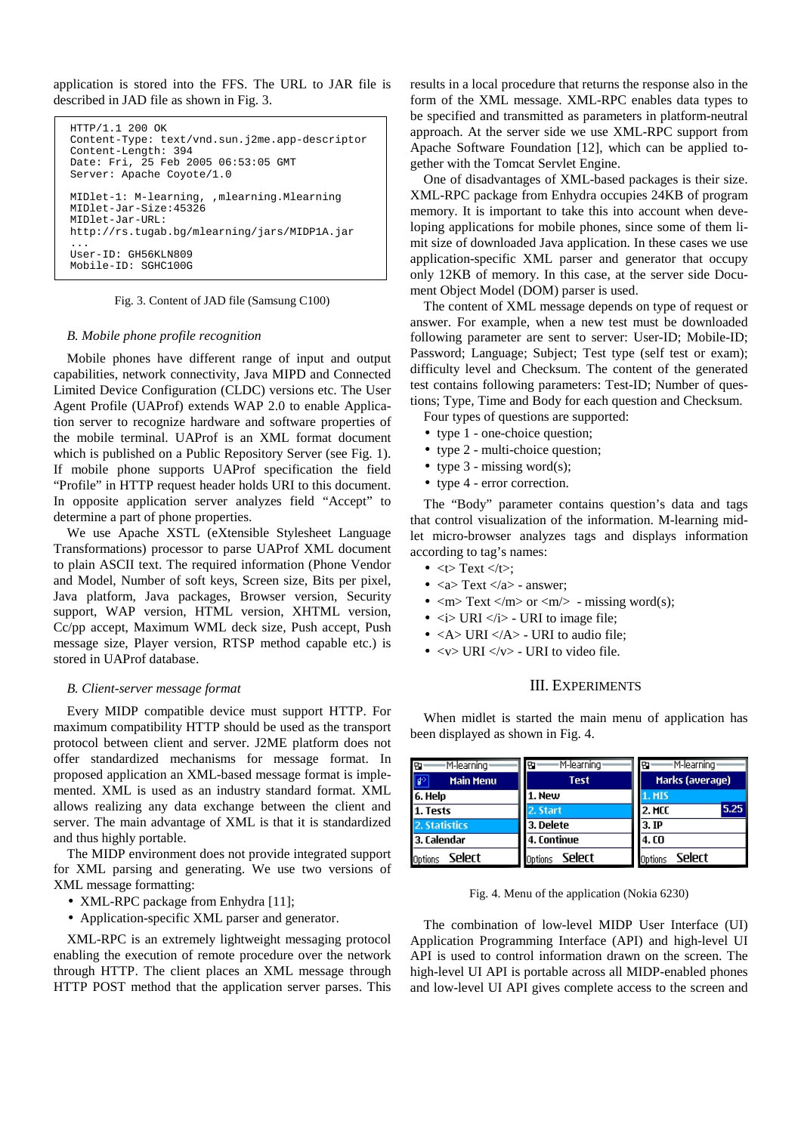application is stored into the FFS. The URL to JAR file is described in JAD file as shown in Fig. 3.

```
HTTP/1.1 200 OK 
Content-Type: text/vnd.sun.j2me.app-descriptor 
Content-Length: 394 
Date: Fri, 25 Feb 2005 06:53:05 GMT 
Server: Apache Coyote/1.0 
MIDlet-1: M-learning, ,mlearning.Mlearning 
MIDlet-Jar-Size:45326 
MIDlet-Jar-URL: 
http://rs.tugab.bg/mlearning/jars/MIDP1A.jar 
... 
User-ID: GH56KLN809 
Mobile-ID: SGHC100G
```
#### Fig. 3. Content of JAD file (Samsung C100)

#### *B. Mobile phone profile recognition*

Mobile phones have different range of input and output capabilities, network connectivity, Java MIPD and Connected Limited Device Configuration (CLDC) versions etc. The User Agent Profile (UAProf) extends WAP 2.0 to enable Application server to recognize hardware and software properties of the mobile terminal. UAProf is an XML format document which is published on a Public Repository Server (see Fig. 1). If mobile phone supports UAProf specification the field "Profile" in HTTP request header holds URI to this document. In opposite application server analyzes field "Accept" to determine a part of phone properties.

We use Apache XSTL (eXtensible Stylesheet Language Transformations) processor to parse UAProf XML document to plain ASCII text. The required information (Phone Vendor and Model, Number of soft keys, Screen size, Bits per pixel, Java platform, Java packages, Browser version, Security support, WAP version, HTML version, XHTML version, Cc/pp accept, Maximum WML deck size, Push accept, Push message size, Player version, RTSP method capable etc.) is stored in UAProf database.

#### *B. Client-server message format*

Every MIDP compatible device must support HTTP. For maximum compatibility HTTP should be used as the transport protocol between client and server. J2ME platform does not offer standardized mechanisms for message format. In proposed application an XML-based message format is implemented. XML is used as an industry standard format. XML allows realizing any data exchange between the client and server. The main advantage of XML is that it is standardized and thus highly portable.

The MIDP environment does not provide integrated support for XML parsing and generating. We use two versions of XML message formatting:

- XML-RPC package from Enhydra [11];
- Application-specific XML parser and generator.

XML-RPC is an extremely lightweight messaging protocol enabling the execution of remote procedure over the network through HTTP. The client places an XML message through HTTP POST method that the application server parses. This results in a local procedure that returns the response also in the form of the XML message. XML-RPC enables data types to be specified and transmitted as parameters in platform-neutral approach. At the server side we use XML-RPC support from Apache Software Foundation [12], which can be applied together with the Tomcat Servlet Engine.

One of disadvantages of XML-based packages is their size. XML-RPC package from Enhydra occupies 24KB of program memory. It is important to take this into account when developing applications for mobile phones, since some of them limit size of downloaded Java application. In these cases we use application-specific XML parser and generator that occupy only 12KB of memory. In this case, at the server side Document Object Model (DOM) parser is used.

The content of XML message depends on type of request or answer. For example, when a new test must be downloaded following parameter are sent to server: User-ID; Mobile-ID; Password; Language; Subject; Test type (self test or exam); difficulty level and Checksum. The content of the generated test contains following parameters: Test-ID; Number of questions; Type, Time and Body for each question and Checksum.

Four types of questions are supported:

- type 1 one-choice question;
- type 2 multi-choice question;
- type  $3$  missing word(s);
- type 4 error correction.

The "Body" parameter contains question's data and tags that control visualization of the information. M-learning midlet micro-browser analyzes tags and displays information according to tag's names:

- $\bullet \leq t$  Text  $\leq t$ :
- $\langle a \rangle$  Text  $\langle a \rangle$  answer:
- $\langle m \rangle$  Text  $\langle m \rangle$  or  $\langle m \rangle$  missing word(s);
- $\langle i \rangle$  URI  $\langle i \rangle$  URI to image file;
- $\langle A \rangle$  URI  $\langle A \rangle$  URI to audio file;
- $\langle v \rangle$  URI  $\langle v \rangle$  URI to video file.

# III. EXPERIMENTS

When midlet is started the main menu of application has been displayed as shown in Fig. 4.

| ·M-learning·<br>Ð       | M-learning <sup>,</sup><br>l Br | M-learning <sup>,</sup><br>m |
|-------------------------|---------------------------------|------------------------------|
| $\sqrt{2}$<br>Main Menu | <b>Test</b>                     | Marks (average)              |
| 6. Help                 | 1. New                          | . MIS                        |
| 1. Tests                | 2. Start                        | 5.25<br>2. MCC               |
| 2. Statistics           | 3. Delete                       | 3.1P                         |
| 3. Calendar             | 4. Continue                     | 4.00                         |
| Select<br>Options       | Select<br>Options               | Select<br>Options            |

Fig. 4. Menu of the application (Nokia 6230)

The combination of low-level MIDP User Interface (UI) Application Programming Interface (API) and high-level UI API is used to control information drawn on the screen. The high-level UI API is portable across all MIDP-enabled phones and low-level UI API gives complete access to the screen and